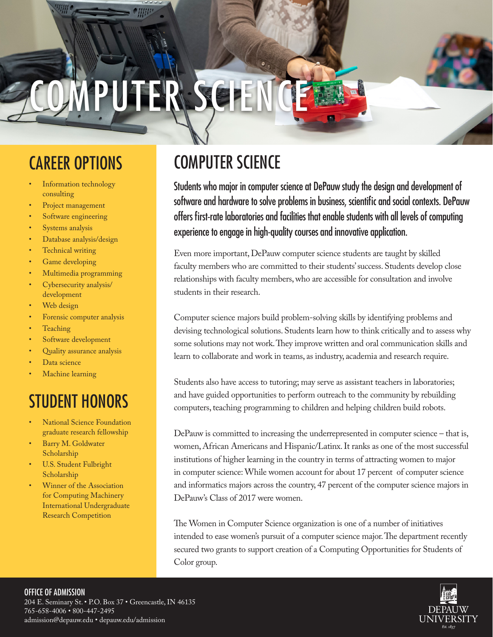# **TEP**

- Information technology consulting
- Project management
- Software engineering
- Systems analysis
- Database analysis/design
- Technical writing
- Game developing
- Multimedia programming
- Cybersecurity analysis/ development
- Web design
- Forensic computer analysis
- **Teaching**
- Software development
- Quality assurance analysis
- Data science
- Machine learning

# STUDENT HONORS

- **National Science Foundation** graduate research fellowship
- Barry M. Goldwater Scholarship
- U.S. Student Fulbright Scholarship
- Winner of the Association for Computing Machinery International Undergraduate Research Competition

# CAREER OPTIONS COMPUTER SCIENCE

Students who major in computer science at DePauw study the design and development of software and hardware to solve problems in business, scientific and social contexts. DePauw offers first-rate laboratories and facilities that enable students with all levels of computing experience to engage in high-quality courses and innovative application.

Even more important, DePauw computer science students are taught by skilled faculty members who are committed to their students' success. Students develop close relationships with faculty members, who are accessible for consultation and involve students in their research.

Computer science majors build problem-solving skills by identifying problems and devising technological solutions. Students learn how to think critically and to assess why some solutions may not work. They improve written and oral communication skills and learn to collaborate and work in teams, as industry, academia and research require.

Students also have access to tutoring; may serve as assistant teachers in laboratories; and have guided opportunities to perform outreach to the community by rebuilding computers, teaching programming to children and helping children build robots.

DePauw is committed to increasing the underrepresented in computer science – that is, women, African Americans and Hispanic/Latinx. It ranks as one of the most successful institutions of higher learning in the country in terms of attracting women to major in computer science: While women account for about 17 percent of computer science and informatics majors across the country, 47 percent of the computer science majors in DePauw's Class of 2017 were women.

The Women in Computer Science organization is one of a number of initiatives intended to ease women's pursuit of a computer science major. The department recently secured two grants to support creation of a Computing Opportunities for Students of Color group.